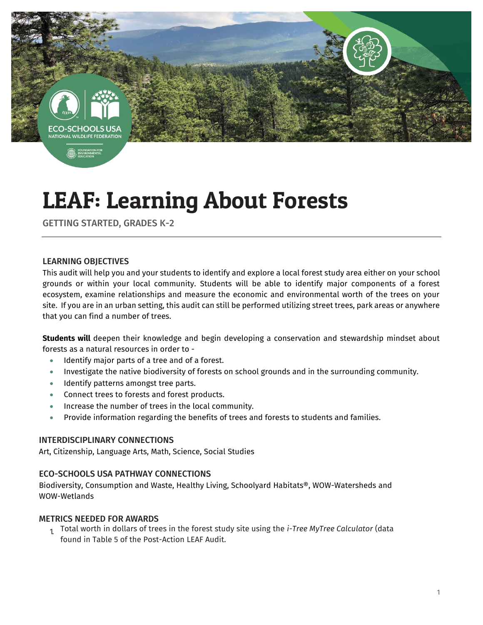

# LEAF: Learning About Forests

GETTING STARTED, GRADES K-2

## LEARNING OBJECTIVES

This audit will help you and your students to identify and explore a local forest study area either on your school grounds or within your local community. Students will be able to identify major components of a forest ecosystem, examine relationships and measure the economic and environmental worth of the trees on your site. If you are in an urban setting, this audit can still be performed utilizing street trees, park areas or anywhere that you can find a number of trees.

**Students will** deepen their knowledge and begin developing a conservation and stewardship mindset about forests as a natural resources in order to -

- Identify major parts of a tree and of a forest.
- Investigate the native biodiversity of forests on school grounds and in the surrounding community.
- Identify patterns amongst tree parts.
- Connect trees to forests and forest products.
- **Increase the number of trees in the local community.**
- Provide information regarding the benefits of trees and forests to students and families.

#### INTERDISCIPLINARY CONNECTIONS

Art, Citizenship, Language Arts, Math, Science, Social Studies

#### ECO-SCHOOLS USA PATHWAY CONNECTIONS

Biodiversity, Consumption and Waste, Healthy Living, Schoolyard Habitats®, WOW-Watersheds and WOW-Wetlands

#### METRICS NEEDED FOR AWARDS

1. Total worth in dollars of trees in the forest study site using the *i-Tree MyTree Calculator* (data found in Table 5 of the Post-Action LEAF Audit.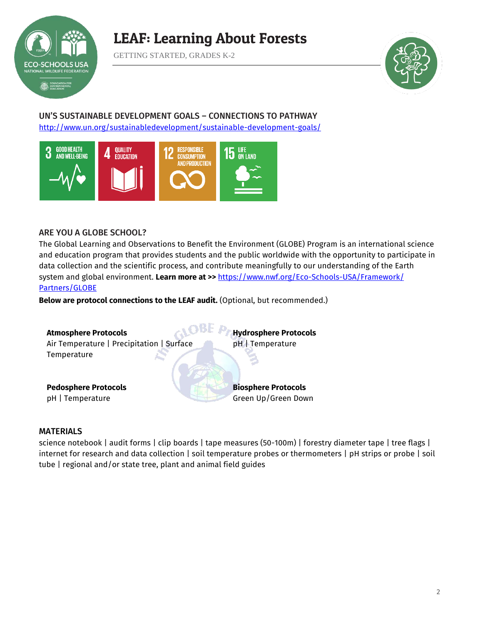

# LEAF: Learning About Forests

GETTING STARTED, GRADES K-2



## UN'S SUSTAINABLE DEVELOPMENT GOALS – CONNECTIONS TO PATHWAY <http://www.un.org/sustainabledevelopment/sustainable-development-goals/>



## ARE YOU A GLOBE SCHOOL?

The Global Learning and Observations to Benefit the Environment (GLOBE) Program is an international science and education program that provides students and the public worldwide with the opportunity to participate in data collection and the scientific process, and contribute meaningfully to our understanding of the Earth system and global environment. **Learn more at >>** [https://www.nwf.org/Eco-Schools-USA/Framework/](https://www.nwf.org/Eco-Schools-USA/Framework/Partners/GLOBE) Partners/GLOBE

**Below are protocol connections to the LEAF audit.** (Optional, but recommended.)



#### MATERIALS

science notebook | audit forms | clip boards | tape measures (50-100m) | forestry diameter tape | tree flags | internet for research and data collection | soil temperature probes or thermometers | pH strips or probe | soil tube | regional and/or state tree, plant and animal field guides